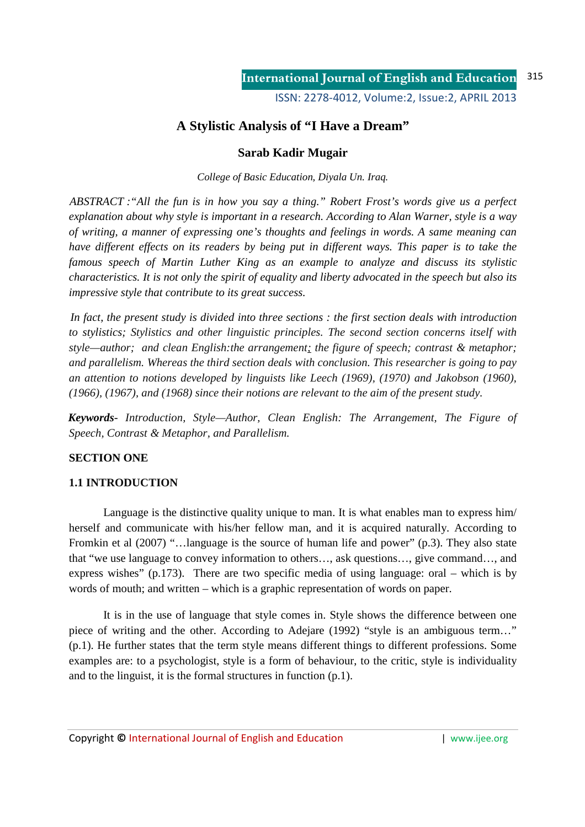# **A Stylistic Analysis of "I Have a Dream"**

# **Sarab Kadir Mugair**

*College of Basic Education, Diyala Un. Iraq.*

*ABSTRACT :"All the fun is in how you say a thing." Robert Frost's words give us a perfect explanation about why style is important in a research. According to Alan Warner, style is a way of writing, a manner of expressing one's thoughts and feelings in words. A same meaning can have different effects on its readers by being put in different ways. This paper is to take the famous speech of Martin Luther King as an example to analyze and discuss its stylistic characteristics. It is not only the spirit of equality and liberty advocated in the speech but also its impressive style that contribute to its great success.* 

*In fact, the present study is divided into three sections : the first section deals with introduction to stylistics; Stylistics and other linguistic principles. The second section concerns itself with style—author; and clean English:the arrangement; the figure of speech; contrast & metaphor; and parallelism. Whereas the third section deals with conclusion. This researcher is going to pay an attention to notions developed by linguists like Leech (1969), (1970) and Jakobson (1960), (1966), (1967), and (1968) since their notions are relevant to the aim of the present study.*

*Keywords*- *Introduction, Style—Author, Clean English: The Arrangement, The Figure of Speech, Contrast & Metaphor, and Parallelism.* 

# **SECTION ONE**

# **1.1 INTRODUCTION**

Language is the distinctive quality unique to man. It is what enables man to express him/ herself and communicate with his/her fellow man, and it is acquired naturally. According to Fromkin et al (2007) "…language is the source of human life and power" (p.3). They also state that "we use language to convey information to others…, ask questions…, give command…, and express wishes" (p.173). There are two specific media of using language: oral – which is by words of mouth; and written – which is a graphic representation of words on paper.

It is in the use of language that style comes in. Style shows the difference between one piece of writing and the other. According to Adejare (1992) "style is an ambiguous term…" (p.1). He further states that the term style means different things to different professions. Some examples are: to a psychologist, style is a form of behaviour, to the critic, style is individuality and to the linguist, it is the formal structures in function (p.1).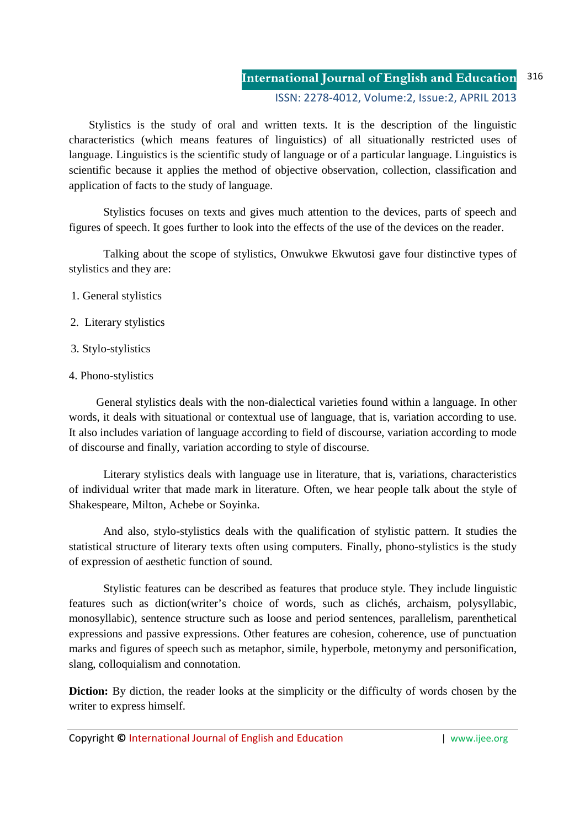#### **International Journal of English and Education** ISSN: 2278-4012, Volume:2, Issue:2, APRIL 2013 316

 Stylistics is the study of oral and written texts. It is the description of the linguistic characteristics (which means features of linguistics) of all situationally restricted uses of language. Linguistics is the scientific study of language or of a particular language. Linguistics is scientific because it applies the method of objective observation, collection, classification and application of facts to the study of language.

Stylistics focuses on texts and gives much attention to the devices, parts of speech and figures of speech. It goes further to look into the effects of the use of the devices on the reader.

Talking about the scope of stylistics, Onwukwe Ekwutosi gave four distinctive types of stylistics and they are:

- 1. General stylistics
- 2. Literary stylistics
- 3. Stylo-stylistics
- 4. Phono-stylistics

General stylistics deals with the non-dialectical varieties found within a language. In other words, it deals with situational or contextual use of language, that is, variation according to use. It also includes variation of language according to field of discourse, variation according to mode of discourse and finally, variation according to style of discourse.

Literary stylistics deals with language use in literature, that is, variations, characteristics of individual writer that made mark in literature. Often, we hear people talk about the style of Shakespeare, Milton, Achebe or Soyinka.

And also, stylo-stylistics deals with the qualification of stylistic pattern. It studies the statistical structure of literary texts often using computers. Finally, phono-stylistics is the study of expression of aesthetic function of sound.

Stylistic features can be described as features that produce style. They include linguistic features such as diction(writer's choice of words, such as clichés, archaism, polysyllabic, monosyllabic), sentence structure such as loose and period sentences, parallelism, parenthetical expressions and passive expressions. Other features are cohesion, coherence, use of punctuation marks and figures of speech such as metaphor, simile, hyperbole, metonymy and personification, slang, colloquialism and connotation.

**Diction:** By diction, the reader looks at the simplicity or the difficulty of words chosen by the writer to express himself.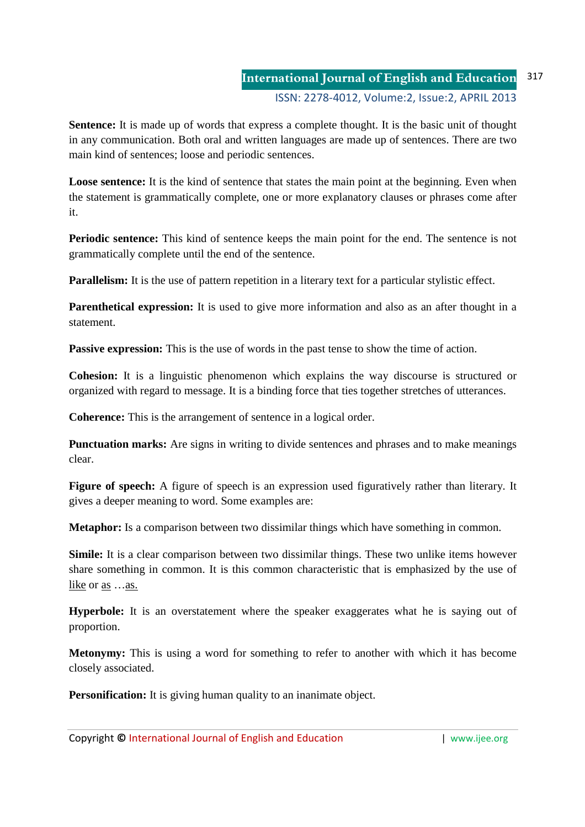#### **International Journal of English and Education** ISSN: 2278-4012, Volume:2, Issue:2, APRIL 2013 317

**Sentence:** It is made up of words that express a complete thought. It is the basic unit of thought in any communication. Both oral and written languages are made up of sentences. There are two main kind of sentences; loose and periodic sentences.

**Loose sentence:** It is the kind of sentence that states the main point at the beginning. Even when the statement is grammatically complete, one or more explanatory clauses or phrases come after it.

**Periodic sentence:** This kind of sentence keeps the main point for the end. The sentence is not grammatically complete until the end of the sentence.

**Parallelism:** It is the use of pattern repetition in a literary text for a particular stylistic effect.

**Parenthetical expression:** It is used to give more information and also as an after thought in a statement.

**Passive expression:** This is the use of words in the past tense to show the time of action.

**Cohesion:** It is a linguistic phenomenon which explains the way discourse is structured or organized with regard to message. It is a binding force that ties together stretches of utterances.

**Coherence:** This is the arrangement of sentence in a logical order.

**Punctuation marks:** Are signs in writing to divide sentences and phrases and to make meanings clear.

**Figure of speech:** A figure of speech is an expression used figuratively rather than literary. It gives a deeper meaning to word. Some examples are:

**Metaphor:** Is a comparison between two dissimilar things which have something in common.

**Simile:** It is a clear comparison between two dissimilar things. These two unlike items however share something in common. It is this common characteristic that is emphasized by the use of like or <u>as</u> ... as.

**Hyperbole:** It is an overstatement where the speaker exaggerates what he is saying out of proportion.

**Metonymy:** This is using a word for something to refer to another with which it has become closely associated.

**Personification:** It is giving human quality to an inanimate object.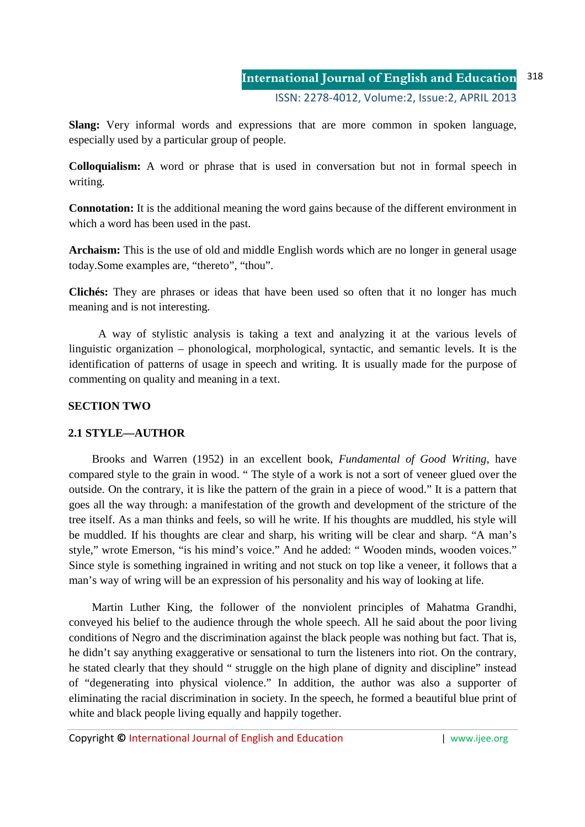**Slang:** Very informal words and expressions that are more common in spoken language, especially used by a particular group of people.

**Colloquialism:** A word or phrase that is used in conversation but not in formal speech in writing.

**Connotation:** It is the additional meaning the word gains because of the different environment in which a word has been used in the past.

**Archaism:** This is the use of old and middle English words which are no longer in general usage today.Some examples are, "thereto", "thou".

**Clichés:** They are phrases or ideas that have been used so often that it no longer has much meaning and is not interesting.

 A way of stylistic analysis is taking a text and analyzing it at the various levels of linguistic organization – phonological, morphological, syntactic, and semantic levels. It is the identification of patterns of usage in speech and writing. It is usually made for the purpose of commenting on quality and meaning in a text.

## **SECTION TWO**

## **2.1 STYLE—AUTHOR**

Brooks and Warren (1952) in an excellent book, *Fundamental of Good Writing*, have compared style to the grain in wood. " The style of a work is not a sort of veneer glued over the outside. On the contrary, it is like the pattern of the grain in a piece of wood." It is a pattern that goes all the way through: a manifestation of the growth and development of the stricture of the tree itself. As a man thinks and feels, so will he write. If his thoughts are muddled, his style will be muddled. If his thoughts are clear and sharp, his writing will be clear and sharp. "A man's style," wrote Emerson, "is his mind's voice." And he added: " Wooden minds, wooden voices." Since style is something ingrained in writing and not stuck on top like a veneer, it follows that a man's way of wring will be an expression of his personality and his way of looking at life.

Martin Luther King, the follower of the nonviolent principles of Mahatma Grandhi, conveyed his belief to the audience through the whole speech. All he said about the poor living conditions of Negro and the discrimination against the black people was nothing but fact. That is, he didn't say anything exaggerative or sensational to turn the listeners into riot. On the contrary, he stated clearly that they should " struggle on the high plane of dignity and discipline" instead of "degenerating into physical violence." In addition, the author was also a supporter of eliminating the racial discrimination in society. In the speech, he formed a beautiful blue print of white and black people living equally and happily together.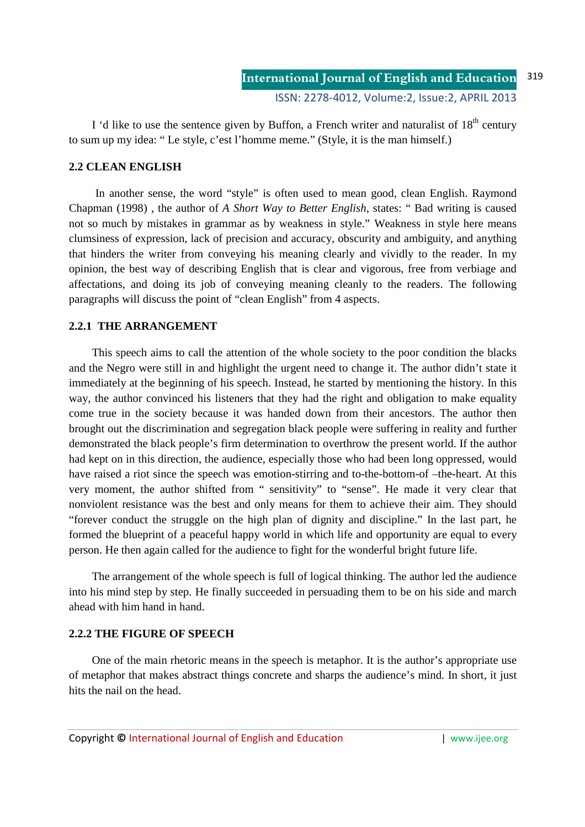I 'd like to use the sentence given by Buffon, a French writer and naturalist of  $18<sup>th</sup>$  century to sum up my idea: " Le style, c'est l'homme meme." (Style, it is the man himself.)

## **2.2 CLEAN ENGLISH**

In another sense, the word "style" is often used to mean good, clean English. Raymond Chapman (1998) , the author of *A Short Way to Better English*, states: " Bad writing is caused not so much by mistakes in grammar as by weakness in style." Weakness in style here means clumsiness of expression, lack of precision and accuracy, obscurity and ambiguity, and anything that hinders the writer from conveying his meaning clearly and vividly to the reader. In my opinion, the best way of describing English that is clear and vigorous, free from verbiage and affectations, and doing its job of conveying meaning cleanly to the readers. The following paragraphs will discuss the point of "clean English" from 4 aspects.

## **2.2.1 THE ARRANGEMENT**

This speech aims to call the attention of the whole society to the poor condition the blacks and the Negro were still in and highlight the urgent need to change it. The author didn't state it immediately at the beginning of his speech. Instead, he started by mentioning the history. In this way, the author convinced his listeners that they had the right and obligation to make equality come true in the society because it was handed down from their ancestors. The author then brought out the discrimination and segregation black people were suffering in reality and further demonstrated the black people's firm determination to overthrow the present world. If the author had kept on in this direction, the audience, especially those who had been long oppressed, would have raised a riot since the speech was emotion-stirring and to-the-bottom-of –the-heart. At this very moment, the author shifted from " sensitivity" to "sense". He made it very clear that nonviolent resistance was the best and only means for them to achieve their aim. They should "forever conduct the struggle on the high plan of dignity and discipline." In the last part, he formed the blueprint of a peaceful happy world in which life and opportunity are equal to every person. He then again called for the audience to fight for the wonderful bright future life.

The arrangement of the whole speech is full of logical thinking. The author led the audience into his mind step by step. He finally succeeded in persuading them to be on his side and march ahead with him hand in hand.

## **2.2.2 THE FIGURE OF SPEECH**

One of the main rhetoric means in the speech is metaphor. It is the author's appropriate use of metaphor that makes abstract things concrete and sharps the audience's mind. In short, it just hits the nail on the head.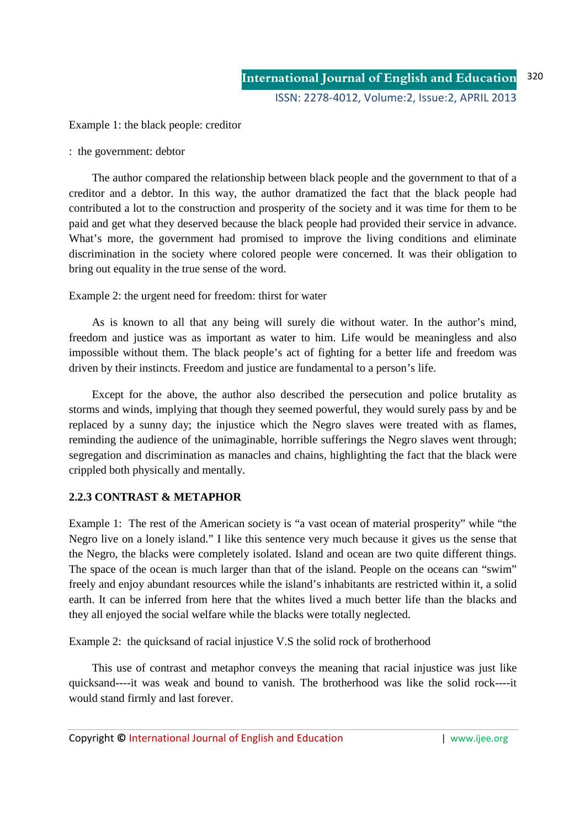Example 1: the black people: creditor

: the government: debtor

The author compared the relationship between black people and the government to that of a creditor and a debtor. In this way, the author dramatized the fact that the black people had contributed a lot to the construction and prosperity of the society and it was time for them to be paid and get what they deserved because the black people had provided their service in advance. What's more, the government had promised to improve the living conditions and eliminate discrimination in the society where colored people were concerned. It was their obligation to bring out equality in the true sense of the word.

Example 2: the urgent need for freedom: thirst for water

As is known to all that any being will surely die without water. In the author's mind, freedom and justice was as important as water to him. Life would be meaningless and also impossible without them. The black people's act of fighting for a better life and freedom was driven by their instincts. Freedom and justice are fundamental to a person's life.

Except for the above, the author also described the persecution and police brutality as storms and winds, implying that though they seemed powerful, they would surely pass by and be replaced by a sunny day; the injustice which the Negro slaves were treated with as flames, reminding the audience of the unimaginable, horrible sufferings the Negro slaves went through; segregation and discrimination as manacles and chains, highlighting the fact that the black were crippled both physically and mentally.

## **2.2.3 CONTRAST & METAPHOR**

Example 1: The rest of the American society is "a vast ocean of material prosperity" while "the Negro live on a lonely island." I like this sentence very much because it gives us the sense that the Negro, the blacks were completely isolated. Island and ocean are two quite different things. The space of the ocean is much larger than that of the island. People on the oceans can "swim" freely and enjoy abundant resources while the island's inhabitants are restricted within it, a solid earth. It can be inferred from here that the whites lived a much better life than the blacks and they all enjoyed the social welfare while the blacks were totally neglected.

Example 2: the quicksand of racial injustice V.S the solid rock of brotherhood

This use of contrast and metaphor conveys the meaning that racial injustice was just like quicksand----it was weak and bound to vanish. The brotherhood was like the solid rock----it would stand firmly and last forever.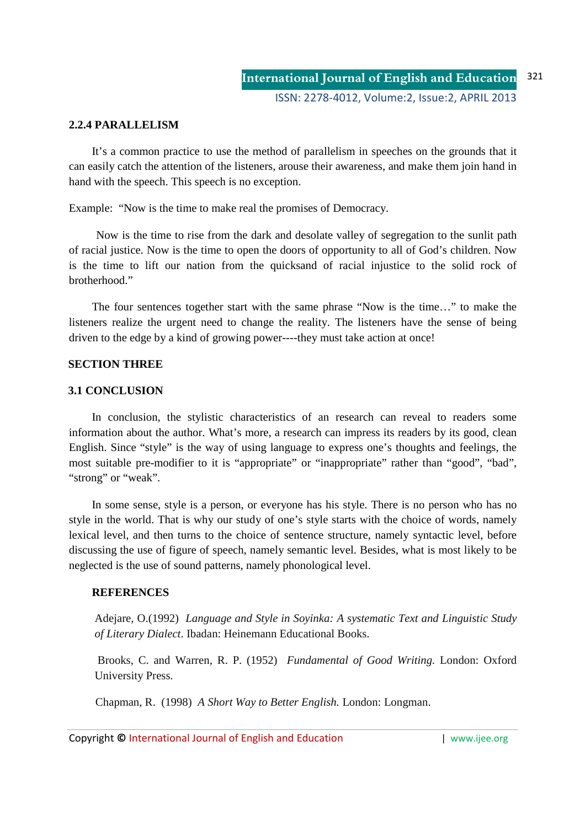#### **2.2.4 PARALLELISM**

It's a common practice to use the method of parallelism in speeches on the grounds that it can easily catch the attention of the listeners, arouse their awareness, and make them join hand in hand with the speech. This speech is no exception.

Example: "Now is the time to make real the promises of Democracy.

Now is the time to rise from the dark and desolate valley of segregation to the sunlit path of racial justice. Now is the time to open the doors of opportunity to all of God's children. Now is the time to lift our nation from the quicksand of racial injustice to the solid rock of brotherhood."

The four sentences together start with the same phrase "Now is the time…" to make the listeners realize the urgent need to change the reality. The listeners have the sense of being driven to the edge by a kind of growing power----they must take action at once!

#### **SECTION THREE**

#### **3.1 CONCLUSION**

In conclusion, the stylistic characteristics of an research can reveal to readers some information about the author. What's more, a research can impress its readers by its good, clean English. Since "style" is the way of using language to express one's thoughts and feelings, the most suitable pre-modifier to it is "appropriate" or "inappropriate" rather than "good", "bad", "strong" or "weak".

In some sense, style is a person, or everyone has his style. There is no person who has no style in the world. That is why our study of one's style starts with the choice of words, namely lexical level, and then turns to the choice of sentence structure, namely syntactic level, before discussing the use of figure of speech, namely semantic level. Besides, what is most likely to be neglected is the use of sound patterns, namely phonological level.

#### **REFERENCES**

Adejare, O.(1992) *Language and Style in Soyinka: A systematic Text and Linguistic Study of Literary Dialect*. Ibadan: Heinemann Educational Books.

 Brooks, C. and Warren, R. P. (1952) *Fundamental of Good Writing.* London: Oxford University Press.

Chapman, R. (1998) *A Short Way to Better English.* London: Longman.